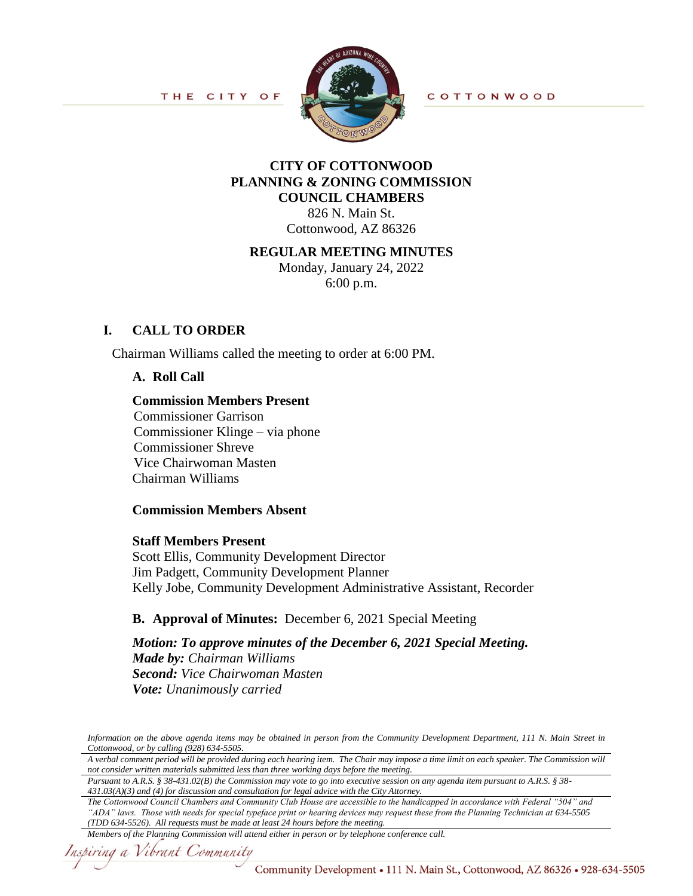

**COTTONWOOD** 

# **CITY OF COTTONWOOD PLANNING & ZONING COMMISSION COUNCIL CHAMBERS**

826 N. Main St. Cottonwood, AZ 86326

#### **REGULAR MEETING MINUTES**

Monday, January 24, 2022 6:00 p.m.

## **I. CALL TO ORDER**

Chairman Williams called the meeting to order at 6:00 PM.

#### **A. Roll Call**

#### **Commission Members Present**

Commissioner Garrison Commissioner Klinge – via phone Commissioner Shreve Vice Chairwoman Masten Chairman Williams

#### **Commission Members Absent**

#### **Staff Members Present**

Scott Ellis, Community Development Director Jim Padgett, Community Development Planner Kelly Jobe, Community Development Administrative Assistant, Recorder

## **B. Approval of Minutes:** December 6, 2021 Special Meeting

*Motion: To approve minutes of the December 6, 2021 Special Meeting. Made by: Chairman Williams Second: Vice Chairwoman Masten Vote: Unanimously carried*

*The Cottonwood Council Chambers and Community Club House are accessible to the handicapped in accordance with Federal "504" and "ADA" laws. Those with needs for special typeface print or hearing devices may request these from the Planning Technician at 634-5505 (TDD 634-5526). All requests must be made at least 24 hours before the meeting.*

Inspiring a Vibrant Community

*Information on the above agenda items may be obtained in person from the Community Development Department, 111 N. Main Street in Cottonwood, or by calling (928) 634-5505.*

*A verbal comment period will be provided during each hearing item. The Chair may impose a time limit on each speaker. The Commission will not consider written materials submitted less than three working days before the meeting.*

*Pursuant to A.R.S. § 38-431.02(B) the Commission may vote to go into executive session on any agenda item pursuant to A.R.S. § 38- 431.03(A)(3) and (4) for discussion and consultation for legal advice with the City Attorney.*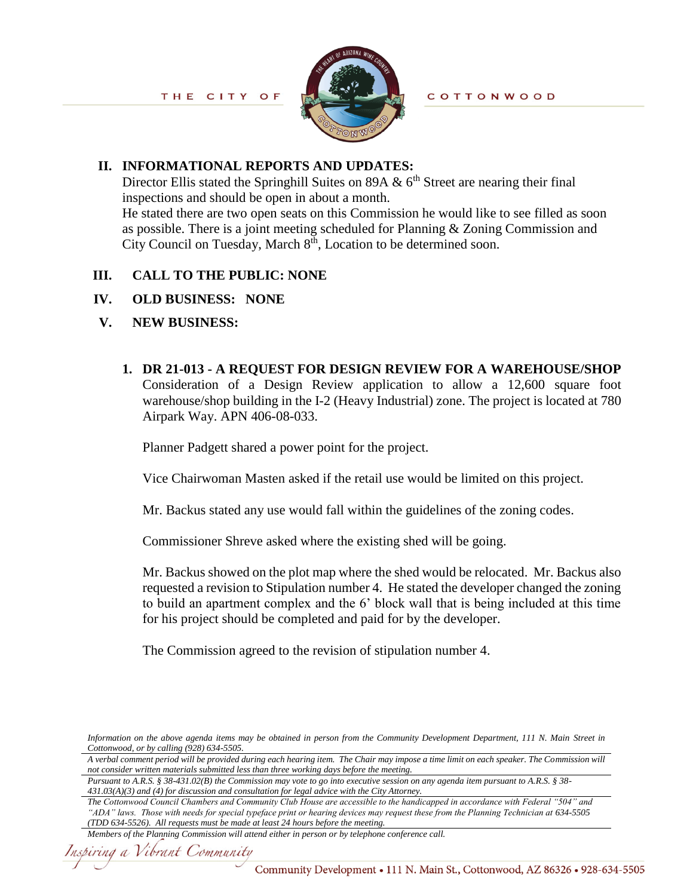

## **II. INFORMATIONAL REPORTS AND UPDATES:**

Director Ellis stated the Springhill Suites on 89A  $\&$  6<sup>th</sup> Street are nearing their final inspections and should be open in about a month. He stated there are two open seats on this Commission he would like to see filled as soon as possible. There is a joint meeting scheduled for Planning & Zoning Commission and City Council on Tuesday, March  $8<sup>th</sup>$ , Location to be determined soon.

# **III. CALL TO THE PUBLIC: NONE**

# **IV. OLD BUSINESS:****NONE**

# **V. NEW BUSINESS:**

**1. DR 21-013 - A REQUEST FOR DESIGN REVIEW FOR A WAREHOUSE/SHOP** Consideration of a Design Review application to allow a 12,600 square foot warehouse/shop building in the I-2 (Heavy Industrial) zone. The project is located at 780 Airpark Way. APN 406-08-033.

Planner Padgett shared a power point for the project.

Vice Chairwoman Masten asked if the retail use would be limited on this project.

Mr. Backus stated any use would fall within the guidelines of the zoning codes.

Commissioner Shreve asked where the existing shed will be going.

Mr. Backus showed on the plot map where the shed would be relocated. Mr. Backus also requested a revision to Stipulation number 4. He stated the developer changed the zoning to build an apartment complex and the 6' block wall that is being included at this time for his project should be completed and paid for by the developer.

The Commission agreed to the revision of stipulation number 4.

*Information on the above agenda items may be obtained in person from the Community Development Department, 111 N. Main Street in Cottonwood, or by calling (928) 634-5505.*

*A verbal comment period will be provided during each hearing item. The Chair may impose a time limit on each speaker. The Commission will not consider written materials submitted less than three working days before the meeting.*

*Pursuant to A.R.S. § 38-431.02(B) the Commission may vote to go into executive session on any agenda item pursuant to A.R.S. § 38- 431.03(A)(3) and (4) for discussion and consultation for legal advice with the City Attorney.*

*The Cottonwood Council Chambers and Community Club House are accessible to the handicapped in accordance with Federal "504" and "ADA" laws. Those with needs for special typeface print or hearing devices may request these from the Planning Technician at 634-5505 (TDD 634-5526). All requests must be made at least 24 hours before the meeting.*

*Members of the Planning Commission will attend either in person or by telephone conference call.*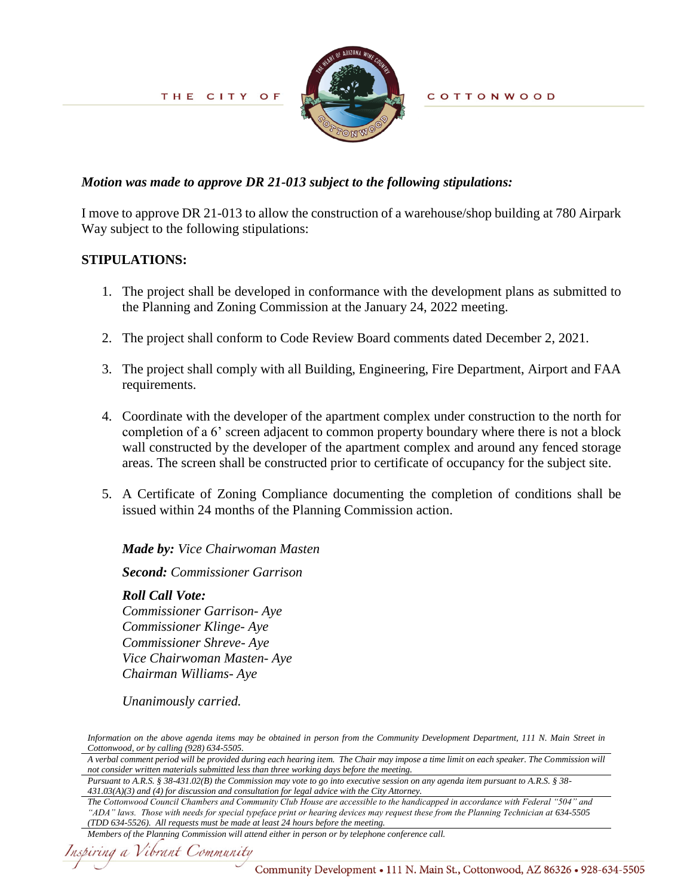

**COTTONWOOD** 

## *Motion was made to approve DR 21-013 subject to the following stipulations:*

I move to approve DR 21-013 to allow the construction of a warehouse/shop building at 780 Airpark Way subject to the following stipulations:

## **STIPULATIONS:**

- 1. The project shall be developed in conformance with the development plans as submitted to the Planning and Zoning Commission at the January 24, 2022 meeting.
- 2. The project shall conform to Code Review Board comments dated December 2, 2021.
- 3. The project shall comply with all Building, Engineering, Fire Department, Airport and FAA requirements.
- 4. Coordinate with the developer of the apartment complex under construction to the north for completion of a 6' screen adjacent to common property boundary where there is not a block wall constructed by the developer of the apartment complex and around any fenced storage areas. The screen shall be constructed prior to certificate of occupancy for the subject site.
- 5. A Certificate of Zoning Compliance documenting the completion of conditions shall be issued within 24 months of the Planning Commission action.

## *Made by: Vice Chairwoman Masten*

*Second: Commissioner Garrison*

## *Roll Call Vote:*

*Commissioner Garrison- Aye Commissioner Klinge- Aye Commissioner Shreve- Aye Vice Chairwoman Masten- Aye Chairman Williams- Aye*

*Unanimously carried.* 

*The Cottonwood Council Chambers and Community Club House are accessible to the handicapped in accordance with Federal "504" and "ADA" laws. Those with needs for special typeface print or hearing devices may request these from the Planning Technician at 634-5505 (TDD 634-5526). All requests must be made at least 24 hours before the meeting.*

Inspiring a Vibrant Community

*Information on the above agenda items may be obtained in person from the Community Development Department, 111 N. Main Street in Cottonwood, or by calling (928) 634-5505.*

*A verbal comment period will be provided during each hearing item. The Chair may impose a time limit on each speaker. The Commission will not consider written materials submitted less than three working days before the meeting.*

*Pursuant to A.R.S. § 38-431.02(B) the Commission may vote to go into executive session on any agenda item pursuant to A.R.S. § 38- 431.03(A)(3) and (4) for discussion and consultation for legal advice with the City Attorney.*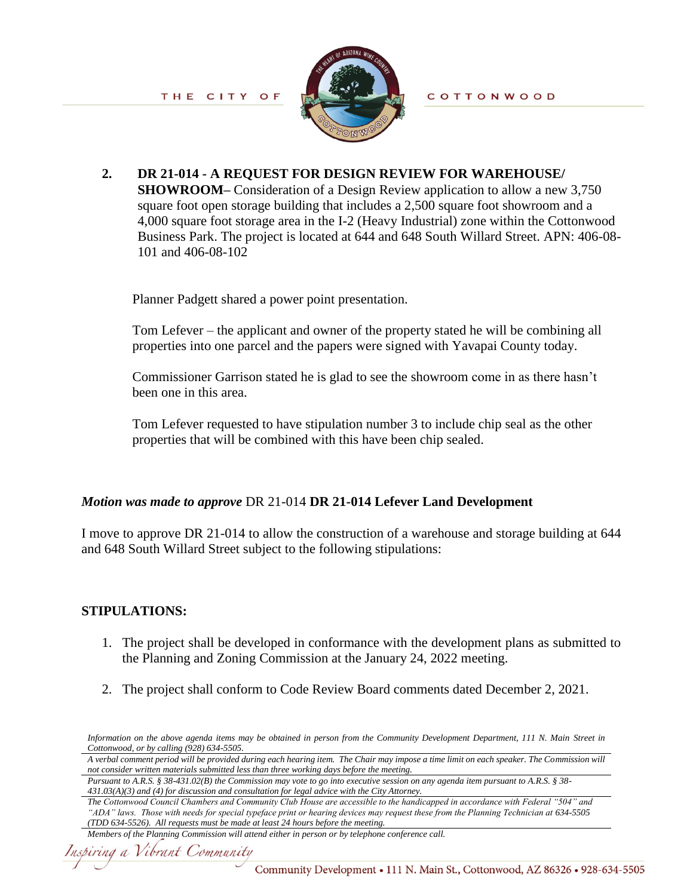

**2. DR 21-014 - A REQUEST FOR DESIGN REVIEW FOR WAREHOUSE/ SHOWROOM–** Consideration of a Design Review application to allow a new 3,750 square foot open storage building that includes a 2,500 square foot showroom and a 4,000 square foot storage area in the I-2 (Heavy Industrial) zone within the Cottonwood Business Park. The project is located at 644 and 648 South Willard Street. APN: 406-08- 101 and 406-08-102

Planner Padgett shared a power point presentation.

Tom Lefever – the applicant and owner of the property stated he will be combining all properties into one parcel and the papers were signed with Yavapai County today.

Commissioner Garrison stated he is glad to see the showroom come in as there hasn't been one in this area.

Tom Lefever requested to have stipulation number 3 to include chip seal as the other properties that will be combined with this have been chip sealed.

## *Motion was made to approve* DR 21-014 **DR 21-014 Lefever Land Development**

I move to approve DR 21-014 to allow the construction of a warehouse and storage building at 644 and 648 South Willard Street subject to the following stipulations:

## **STIPULATIONS:**

- 1. The project shall be developed in conformance with the development plans as submitted to the Planning and Zoning Commission at the January 24, 2022 meeting.
- 2. The project shall conform to Code Review Board comments dated December 2, 2021.

```
Members of the Planning Commission will attend either in person or by telephone conference call.
```
*Information on the above agenda items may be obtained in person from the Community Development Department, 111 N. Main Street in Cottonwood, or by calling (928) 634-5505.*

*A verbal comment period will be provided during each hearing item. The Chair may impose a time limit on each speaker. The Commission will not consider written materials submitted less than three working days before the meeting.*

*Pursuant to A.R.S. § 38-431.02(B) the Commission may vote to go into executive session on any agenda item pursuant to A.R.S. § 38- 431.03(A)(3) and (4) for discussion and consultation for legal advice with the City Attorney.*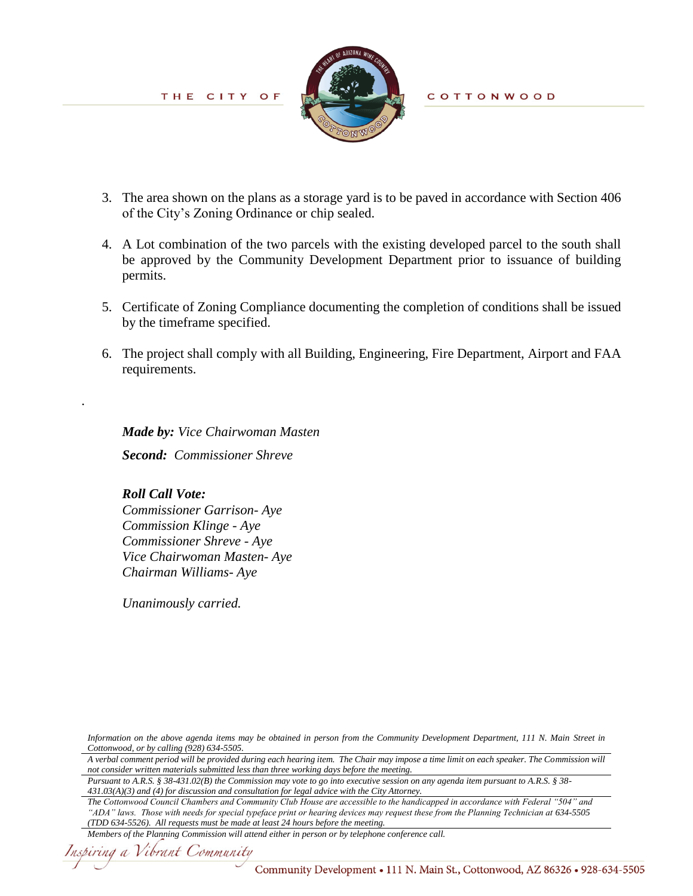

**COTTONWOOD** 

- 3. The area shown on the plans as a storage yard is to be paved in accordance with Section 406 of the City's Zoning Ordinance or chip sealed.
- 4. A Lot combination of the two parcels with the existing developed parcel to the south shall be approved by the Community Development Department prior to issuance of building permits.
- 5. Certificate of Zoning Compliance documenting the completion of conditions shall be issued by the timeframe specified.
- 6. The project shall comply with all Building, Engineering, Fire Department, Airport and FAA requirements.

 *Made by: Vice Chairwoman Masten Second: Commissioner Shreve*

## *Roll Call Vote:*

.

*Commissioner Garrison- Aye Commission Klinge - Aye Commissioner Shreve - Aye Vice Chairwoman Masten- Aye Chairman Williams- Aye*

*Unanimously carried.* 

*Information on the above agenda items may be obtained in person from the Community Development Department, 111 N. Main Street in Cottonwood, or by calling (928) 634-5505.*

*A verbal comment period will be provided during each hearing item. The Chair may impose a time limit on each speaker. The Commission will not consider written materials submitted less than three working days before the meeting.*

*Pursuant to A.R.S. § 38-431.02(B) the Commission may vote to go into executive session on any agenda item pursuant to A.R.S. § 38- 431.03(A)(3) and (4) for discussion and consultation for legal advice with the City Attorney.*

*The Cottonwood Council Chambers and Community Club House are accessible to the handicapped in accordance with Federal "504" and "ADA" laws. Those with needs for special typeface print or hearing devices may request these from the Planning Technician at 634-5505 (TDD 634-5526). All requests must be made at least 24 hours before the meeting.*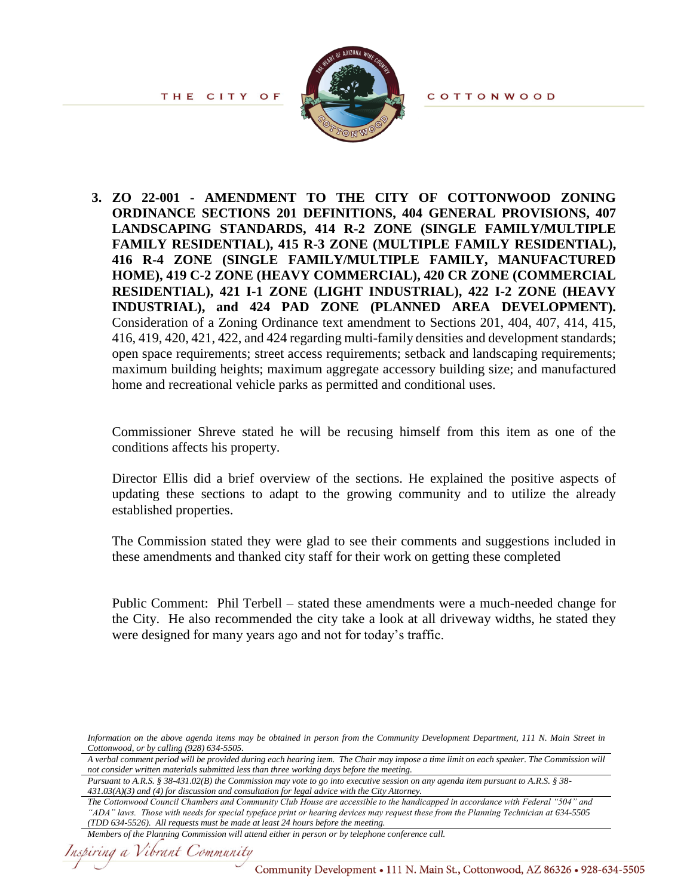**COTTONWOOD** 

THE CITY OF



**3. ZO 22-001 - AMENDMENT TO THE CITY OF COTTONWOOD ZONING ORDINANCE SECTIONS 201 DEFINITIONS, 404 GENERAL PROVISIONS, 407 LANDSCAPING STANDARDS, 414 R-2 ZONE (SINGLE FAMILY/MULTIPLE FAMILY RESIDENTIAL), 415 R-3 ZONE (MULTIPLE FAMILY RESIDENTIAL), 416 R-4 ZONE (SINGLE FAMILY/MULTIPLE FAMILY, MANUFACTURED HOME), 419 C-2 ZONE (HEAVY COMMERCIAL), 420 CR ZONE (COMMERCIAL RESIDENTIAL), 421 I-1 ZONE (LIGHT INDUSTRIAL), 422 I-2 ZONE (HEAVY INDUSTRIAL), and 424 PAD ZONE (PLANNED AREA DEVELOPMENT).** Consideration of a Zoning Ordinance text amendment to Sections 201, 404, 407, 414, 415, 416, 419, 420, 421, 422, and 424 regarding multi-family densities and development standards; open space requirements; street access requirements; setback and landscaping requirements; maximum building heights; maximum aggregate accessory building size; and manufactured home and recreational vehicle parks as permitted and conditional uses.

Commissioner Shreve stated he will be recusing himself from this item as one of the conditions affects his property.

Director Ellis did a brief overview of the sections. He explained the positive aspects of updating these sections to adapt to the growing community and to utilize the already established properties.

The Commission stated they were glad to see their comments and suggestions included in these amendments and thanked city staff for their work on getting these completed

Public Comment: Phil Terbell – stated these amendments were a much-needed change for the City. He also recommended the city take a look at all driveway widths, he stated they were designed for many years ago and not for today's traffic.

```
Members of the Planning Commission will attend either in person or by telephone conference call.
```
*Information on the above agenda items may be obtained in person from the Community Development Department, 111 N. Main Street in Cottonwood, or by calling (928) 634-5505.*

*A verbal comment period will be provided during each hearing item. The Chair may impose a time limit on each speaker. The Commission will not consider written materials submitted less than three working days before the meeting.*

*Pursuant to A.R.S. § 38-431.02(B) the Commission may vote to go into executive session on any agenda item pursuant to A.R.S. § 38- 431.03(A)(3) and (4) for discussion and consultation for legal advice with the City Attorney.*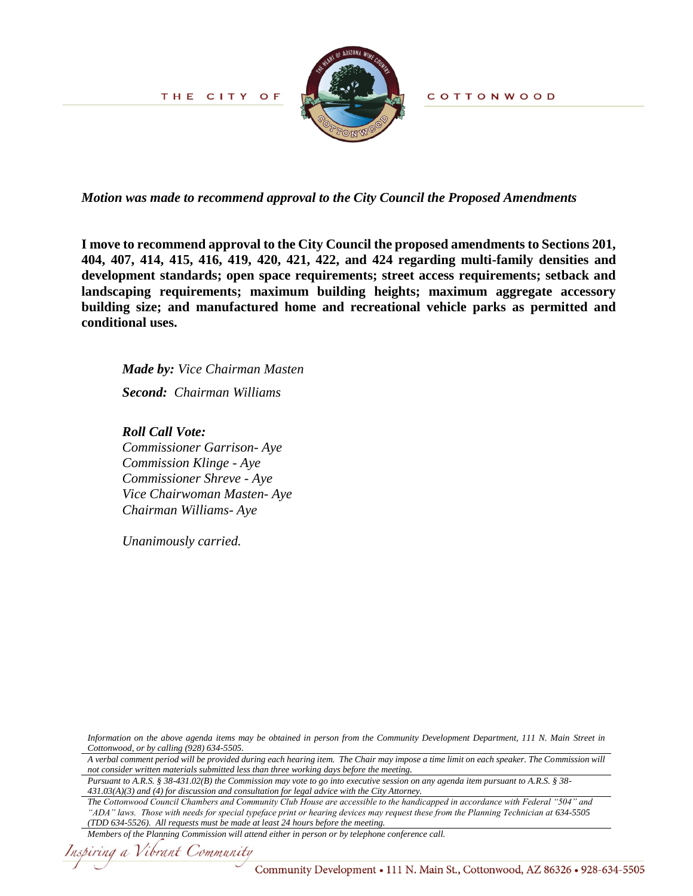

COTTONWOOD

*Motion was made to recommend approval to the City Council the Proposed Amendments*

**I move to recommend approval to the City Council the proposed amendments to Sections 201, 404, 407, 414, 415, 416, 419, 420, 421, 422, and 424 regarding multi-family densities and development standards; open space requirements; street access requirements; setback and landscaping requirements; maximum building heights; maximum aggregate accessory building size; and manufactured home and recreational vehicle parks as permitted and conditional uses.**

 *Made by: Vice Chairman Masten Second: Chairman Williams*

#### *Roll Call Vote:*

*Commissioner Garrison- Aye Commission Klinge - Aye Commissioner Shreve - Aye Vice Chairwoman Masten- Aye Chairman Williams- Aye*

*Unanimously carried.* 

*Information on the above agenda items may be obtained in person from the Community Development Department, 111 N. Main Street in Cottonwood, or by calling (928) 634-5505.*

*A verbal comment period will be provided during each hearing item. The Chair may impose a time limit on each speaker. The Commission will not consider written materials submitted less than three working days before the meeting.*

*Pursuant to A.R.S. § 38-431.02(B) the Commission may vote to go into executive session on any agenda item pursuant to A.R.S. § 38- 431.03(A)(3) and (4) for discussion and consultation for legal advice with the City Attorney.*

*The Cottonwood Council Chambers and Community Club House are accessible to the handicapped in accordance with Federal "504" and "ADA" laws. Those with needs for special typeface print or hearing devices may request these from the Planning Technician at 634-5505 (TDD 634-5526). All requests must be made at least 24 hours before the meeting.*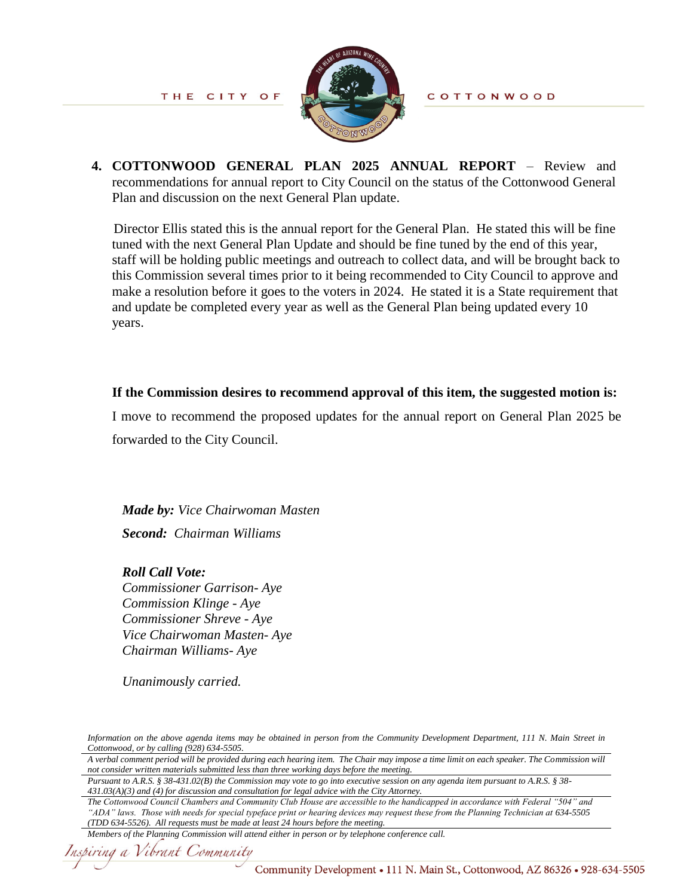

**COTTONWOOD** 

**4. COTTONWOOD GENERAL PLAN 2025 ANNUAL REPORT** – Review and recommendations for annual report to City Council on the status of the Cottonwood General Plan and discussion on the next General Plan update.

Director Ellis stated this is the annual report for the General Plan. He stated this will be fine tuned with the next General Plan Update and should be fine tuned by the end of this year, staff will be holding public meetings and outreach to collect data, and will be brought back to this Commission several times prior to it being recommended to City Council to approve and make a resolution before it goes to the voters in 2024. He stated it is a State requirement that and update be completed every year as well as the General Plan being updated every 10 years.

## **If the Commission desires to recommend approval of this item, the suggested motion is:**

I move to recommend the proposed updates for the annual report on General Plan 2025 be forwarded to the City Council.

 *Made by: Vice Chairwoman Masten Second: Chairman Williams*

*Roll Call Vote: Commissioner Garrison- Aye Commission Klinge - Aye Commissioner Shreve - Aye Vice Chairwoman Masten- Aye Chairman Williams- Aye*

*Unanimously carried.* 

*Information on the above agenda items may be obtained in person from the Community Development Department, 111 N. Main Street in Cottonwood, or by calling (928) 634-5505.*

*A verbal comment period will be provided during each hearing item. The Chair may impose a time limit on each speaker. The Commission will not consider written materials submitted less than three working days before the meeting.*

*Pursuant to A.R.S. § 38-431.02(B) the Commission may vote to go into executive session on any agenda item pursuant to A.R.S. § 38- 431.03(A)(3) and (4) for discussion and consultation for legal advice with the City Attorney.*

```
Members of the Planning Commission will attend either in person or by telephone conference call.
```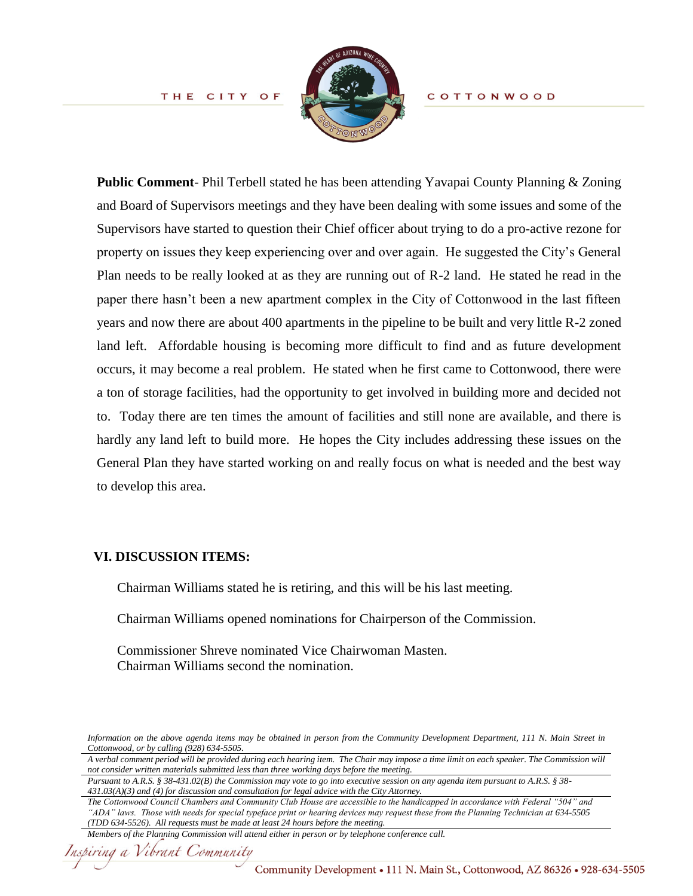

**COTTONWOOD** 

**Public Comment**- Phil Terbell stated he has been attending Yavapai County Planning & Zoning and Board of Supervisors meetings and they have been dealing with some issues and some of the Supervisors have started to question their Chief officer about trying to do a pro-active rezone for property on issues they keep experiencing over and over again. He suggested the City's General Plan needs to be really looked at as they are running out of R-2 land. He stated he read in the paper there hasn't been a new apartment complex in the City of Cottonwood in the last fifteen years and now there are about 400 apartments in the pipeline to be built and very little R-2 zoned land left. Affordable housing is becoming more difficult to find and as future development occurs, it may become a real problem. He stated when he first came to Cottonwood, there were a ton of storage facilities, had the opportunity to get involved in building more and decided not to. Today there are ten times the amount of facilities and still none are available, and there is hardly any land left to build more. He hopes the City includes addressing these issues on the General Plan they have started working on and really focus on what is needed and the best way to develop this area.

#### **VI. DISCUSSION ITEMS:**

Chairman Williams stated he is retiring, and this will be his last meeting.

Chairman Williams opened nominations for Chairperson of the Commission.

Commissioner Shreve nominated Vice Chairwoman Masten. Chairman Williams second the nomination.

*Information on the above agenda items may be obtained in person from the Community Development Department, 111 N. Main Street in Cottonwood, or by calling (928) 634-5505.*

*A verbal comment period will be provided during each hearing item. The Chair may impose a time limit on each speaker. The Commission will not consider written materials submitted less than three working days before the meeting.*

*Pursuant to A.R.S. § 38-431.02(B) the Commission may vote to go into executive session on any agenda item pursuant to A.R.S. § 38- 431.03(A)(3) and (4) for discussion and consultation for legal advice with the City Attorney.*

*Members of the Planning Commission will attend either in person or by telephone conference call.*